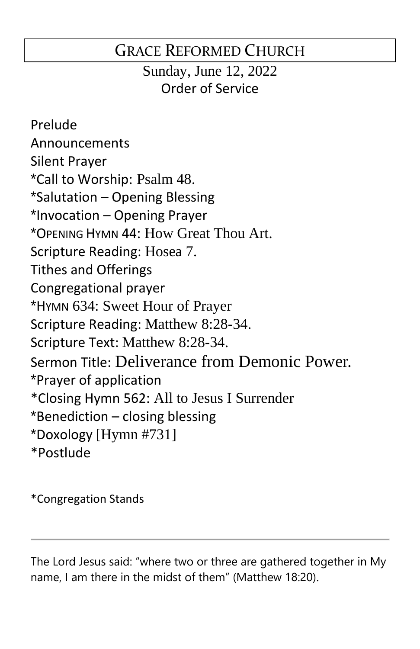# GRACE REFORMED CHURCH

Sunday, June 12, 2022 Order of Service

Prelude Announcements Silent Prayer \*Call to Worship: Psalm 48. \*Salutation – Opening Blessing \*Invocation – Opening Prayer \*OPENING HYMN 44: How Great Thou Art. Scripture Reading: Hosea 7. Tithes and Offerings Congregational prayer \*HYMN 634: Sweet Hour of Prayer Scripture Reading: Matthew 8:28-34. Scripture Text: Matthew 8:28-34. Sermon Title: Deliverance from Demonic Power. \*Prayer of application \*Closing Hymn 562: All to Jesus I Surrender \*Benediction – closing blessing \*Doxology [Hymn #731] \*Postlude

\*Congregation Stands

The Lord Jesus said: "where two or three are gathered together in My name, I am there in the midst of them" (Matthew 18:20).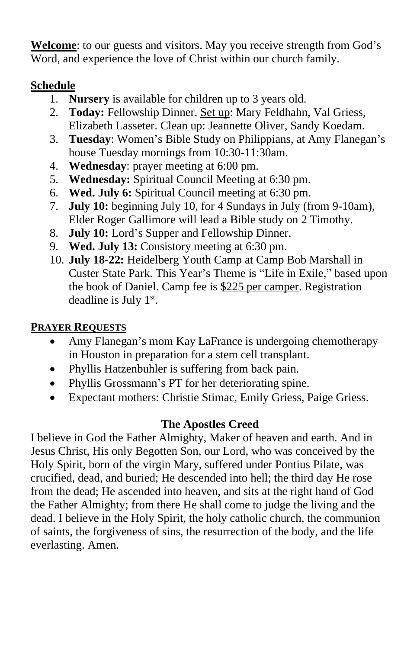**Welcome**: to our guests and visitors. May you receive strength from God's Word, and experience the love of Christ within our church family.

### **Schedule**

- 1. **Nursery** is available for children up to 3 years old.
- 2. **Today:** Fellowship Dinner. Set up: Mary Feldhahn, Val Griess, Elizabeth Lasseter. Clean up: Jeannette Oliver, Sandy Koedam.
- 3. **Tuesday**: Women's Bible Study on Philippians, at Amy Flanegan's house Tuesday mornings from 10:30-11:30am.
- 4. **Wednesday**: prayer meeting at 6:00 pm.
- 5. **Wednesday:** Spiritual Council Meeting at 6:30 pm.
- 6. **Wed. July 6:** Spiritual Council meeting at 6:30 pm.
- 7. **July 10:** beginning July 10, for 4 Sundays in July (from 9-10am), Elder Roger Gallimore will lead a Bible study on 2 Timothy.
- 8. **July 10:** Lord's Supper and Fellowship Dinner.
- 9. **Wed. July 13:** Consistory meeting at 6:30 pm.
- 10. **July 18-22:** Heidelberg Youth Camp at Camp Bob Marshall in Custer State Park. This Year's Theme is "Life in Exile," based upon the book of Daniel. Camp fee is \$225 per camper. Registration deadline is July 1<sup>st</sup>.

## **PRAYER REQUESTS**

- Amy Flanegan's mom Kay LaFrance is undergoing chemotherapy in Houston in preparation for a stem cell transplant.
- Phyllis Hatzenbuhler is suffering from back pain.
- Phyllis Grossmann's PT for her deteriorating spine.
- Expectant mothers: Christie Stimac, Emily Griess, Paige Griess.

### **The Apostles Creed**

I believe in God the Father Almighty, Maker of heaven and earth. And in Jesus Christ, His only Begotten Son, our Lord, who was conceived by the Holy Spirit, born of the virgin Mary, suffered under Pontius Pilate, was crucified, dead, and buried; He descended into hell; the third day He rose from the dead; He ascended into heaven, and sits at the right hand of God the Father Almighty; from there He shall come to judge the living and the dead. I believe in the Holy Spirit, the holy catholic church, the communion of saints, the forgiveness of sins, the resurrection of the body, and the life everlasting. Amen.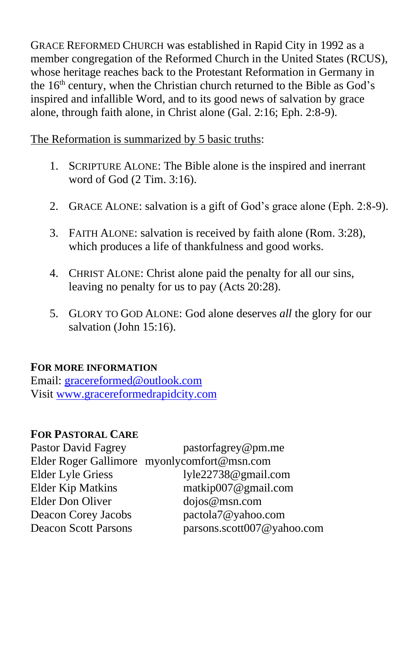GRACE REFORMED CHURCH was established in Rapid City in 1992 as a member congregation of the Reformed Church in the United States (RCUS), whose heritage reaches back to the Protestant Reformation in Germany in the 16<sup>th</sup> century, when the Christian church returned to the Bible as God's inspired and infallible Word, and to its good news of salvation by grace alone, through faith alone, in Christ alone (Gal. 2:16; Eph. 2:8-9).

The Reformation is summarized by 5 basic truths:

- 1. SCRIPTURE ALONE: The Bible alone is the inspired and inerrant word of God (2 Tim. 3:16).
- 2. GRACE ALONE: salvation is a gift of God's grace alone (Eph. 2:8-9).
- 3. FAITH ALONE: salvation is received by faith alone (Rom. 3:28), which produces a life of thankfulness and good works.
- 4. CHRIST ALONE: Christ alone paid the penalty for all our sins, leaving no penalty for us to pay (Acts 20:28).
- 5. GLORY TO GOD ALONE: God alone deserves *all* the glory for our salvation (John 15:16).

#### **FOR MORE INFORMATION**

Email: [gracereformed@outlook.com](mailto:gracereformed@outlook.com) Visit [www.gracereformedrapidcity.com](http://www.gracereformedrapidcity.com/)

#### **FOR PASTORAL CARE**

| <b>Pastor David Fagrey</b><br>pastorfagrey@pm.me          |  |
|-----------------------------------------------------------|--|
| Elder Roger Gallimore myonlycomfort@msn.com               |  |
| <b>Elder Lyle Griess</b><br>lyle22738@gmail.com           |  |
| <b>Elder Kip Matkins</b><br>matkip007@gmail.com           |  |
| Elder Don Oliver<br>dojos@msn.com                         |  |
| pactola7@yahoo.com<br>Deacon Corey Jacobs                 |  |
| parsons.scott007@yahoo.com<br><b>Deacon Scott Parsons</b> |  |